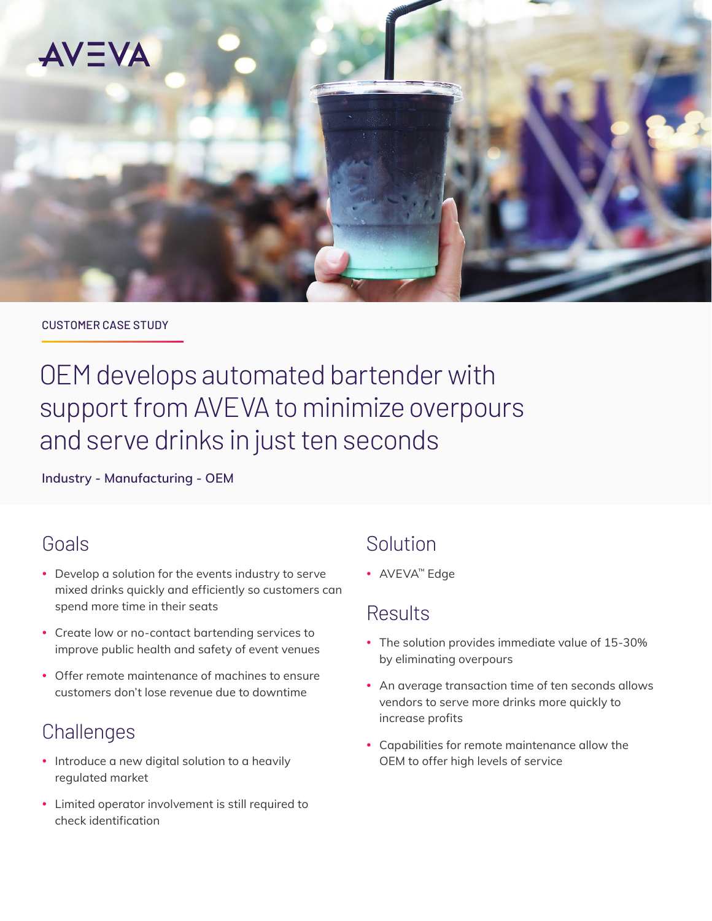

#### CUSTOMER CASE STUDY

OEM develops automated bartender with support from AVEVA to minimize overpours and serve drinks in just ten seconds

**Industry - Manufacturing - OEM**

# Goals

- Develop a solution for the events industry to serve mixed drinks quickly and efficiently so customers can spend more time in their seats
- Create low or no-contact bartending services to improve public health and safety of event venues
- Offer remote maintenance of machines to ensure customers don't lose revenue due to downtime

# **Challenges**

- Introduce a new digital solution to a heavily regulated market
- Limited operator involvement is still required to check identification

# Solution

• AVEVA™ Edge

# Results

- The solution provides immediate value of 15-30% by eliminating overpours
- An average transaction time of ten seconds allows vendors to serve more drinks more quickly to increase profits
- Capabilities for remote maintenance allow the OEM to offer high levels of service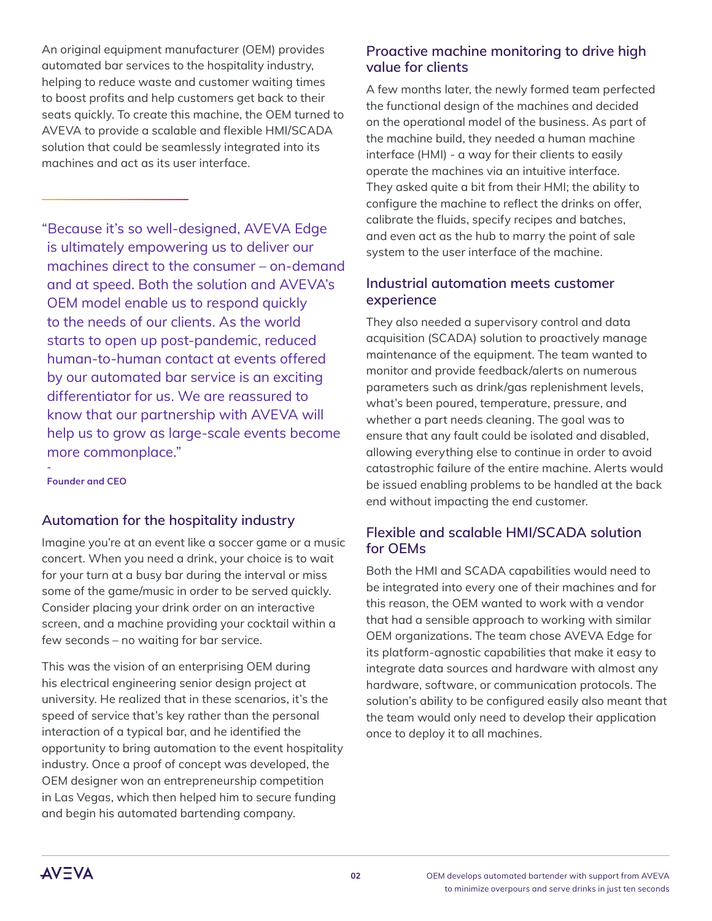An original equipment manufacturer (OEM) provides automated bar services to the hospitality industry, helping to reduce waste and customer waiting times to boost profits and help customers get back to their seats quickly. To create this machine, the OEM turned to AVEVA to provide a scalable and flexible HMI/SCADA solution that could be seamlessly integrated into its machines and act as its user interface.

"Because it's so well-designed, AVEVA Edge is ultimately empowering us to deliver our machines direct to the consumer – on-demand and at speed. Both the solution and AVEVA's OEM model enable us to respond quickly to the needs of our clients. As the world starts to open up post-pandemic, reduced human-to-human contact at events offered by our automated bar service is an exciting differentiator for us. We are reassured to know that our partnership with AVEVA will help us to grow as large-scale events become more commonplace."

**Founder and CEO**

**-**

### **Automation for the hospitality industry**

Imagine you're at an event like a soccer game or a music concert. When you need a drink, your choice is to wait for your turn at a busy bar during the interval or miss some of the game/music in order to be served quickly. Consider placing your drink order on an interactive screen, and a machine providing your cocktail within a few seconds – no waiting for bar service.

This was the vision of an enterprising OEM during his electrical engineering senior design project at university. He realized that in these scenarios, it's the speed of service that's key rather than the personal interaction of a typical bar, and he identified the opportunity to bring automation to the event hospitality industry. Once a proof of concept was developed, the OEM designer won an entrepreneurship competition in Las Vegas, which then helped him to secure funding and begin his automated bartending company.

### **Proactive machine monitoring to drive high value for clients**

A few months later, the newly formed team perfected the functional design of the machines and decided on the operational model of the business. As part of the machine build, they needed a human machine interface (HMI) - a way for their clients to easily operate the machines via an intuitive interface. They asked quite a bit from their HMI; the ability to configure the machine to reflect the drinks on offer, calibrate the fluids, specify recipes and batches, and even act as the hub to marry the point of sale system to the user interface of the machine.

### **Industrial automation meets customer experience**

They also needed a supervisory control and data acquisition (SCADA) solution to proactively manage maintenance of the equipment. The team wanted to monitor and provide feedback/alerts on numerous parameters such as drink/gas replenishment levels, what's been poured, temperature, pressure, and whether a part needs cleaning. The goal was to ensure that any fault could be isolated and disabled, allowing everything else to continue in order to avoid catastrophic failure of the entire machine. Alerts would be issued enabling problems to be handled at the back end without impacting the end customer.

## **Flexible and scalable HMI/SCADA solution for OEMs**

Both the HMI and SCADA capabilities would need to be integrated into every one of their machines and for this reason, the OEM wanted to work with a vendor that had a sensible approach to working with similar OEM organizations. The team chose AVEVA Edge for its platform-agnostic capabilities that make it easy to integrate data sources and hardware with almost any hardware, software, or communication protocols. The solution's ability to be configured easily also meant that the team would only need to develop their application once to deploy it to all machines.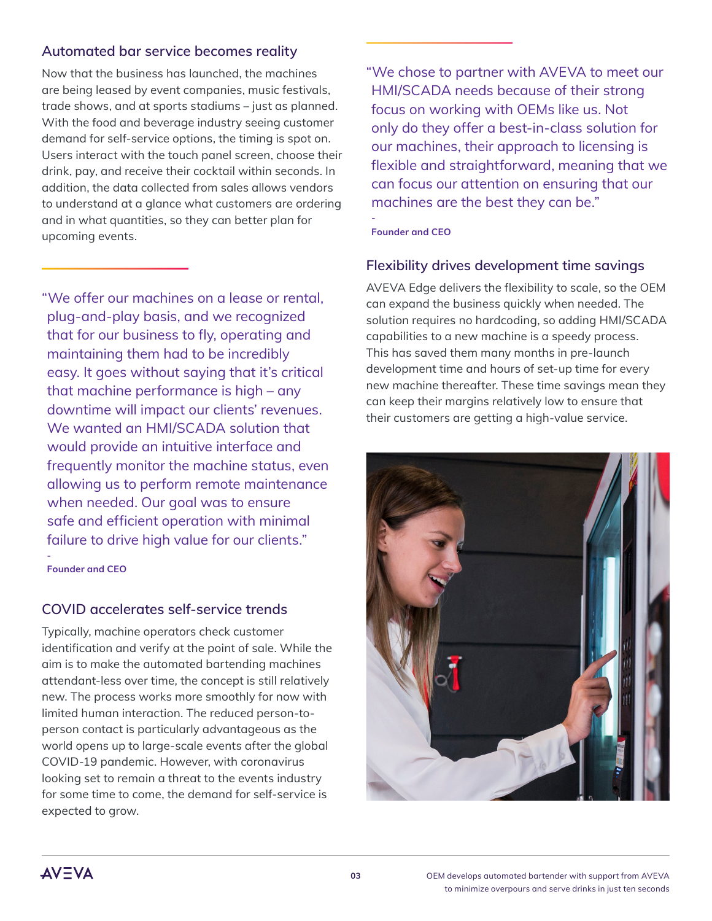## **Automated bar service becomes reality**

Now that the business has launched, the machines are being leased by event companies, music festivals, trade shows, and at sports stadiums – just as planned. With the food and beverage industry seeing customer demand for self-service options, the timing is spot on. Users interact with the touch panel screen, choose their drink, pay, and receive their cocktail within seconds. In addition, the data collected from sales allows vendors to understand at a glance what customers are ordering and in what quantities, so they can better plan for upcoming events.

"We offer our machines on a lease or rental, plug-and-play basis, and we recognized that for our business to fly, operating and maintaining them had to be incredibly easy. It goes without saying that it's critical that machine performance is high – any downtime will impact our clients' revenues. We wanted an HMI/SCADA solution that would provide an intuitive interface and frequently monitor the machine status, even allowing us to perform remote maintenance when needed. Our goal was to ensure safe and efficient operation with minimal failure to drive high value for our clients." **-**

**Founder and CEO**

# **COVID accelerates self-service trends**

Typically, machine operators check customer identification and verify at the point of sale. While the aim is to make the automated bartending machines attendant-less over time, the concept is still relatively new. The process works more smoothly for now with limited human interaction. The reduced person-toperson contact is particularly advantageous as the world opens up to large-scale events after the global COVID-19 pandemic. However, with coronavirus looking set to remain a threat to the events industry for some time to come, the demand for self-service is expected to grow.

"We chose to partner with AVEVA to meet our HMI/SCADA needs because of their strong focus on working with OEMs like us. Not only do they offer a best-in-class solution for our machines, their approach to licensing is flexible and straightforward, meaning that we can focus our attention on ensuring that our machines are the best they can be."

**Founder and CEO**

**-**

### **Flexibility drives development time savings**

AVEVA Edge delivers the flexibility to scale, so the OEM can expand the business quickly when needed. The solution requires no hardcoding, so adding HMI/SCADA capabilities to a new machine is a speedy process. This has saved them many months in pre-launch development time and hours of set-up time for every new machine thereafter. These time savings mean they can keep their margins relatively low to ensure that their customers are getting a high-value service.



**AVEVA**